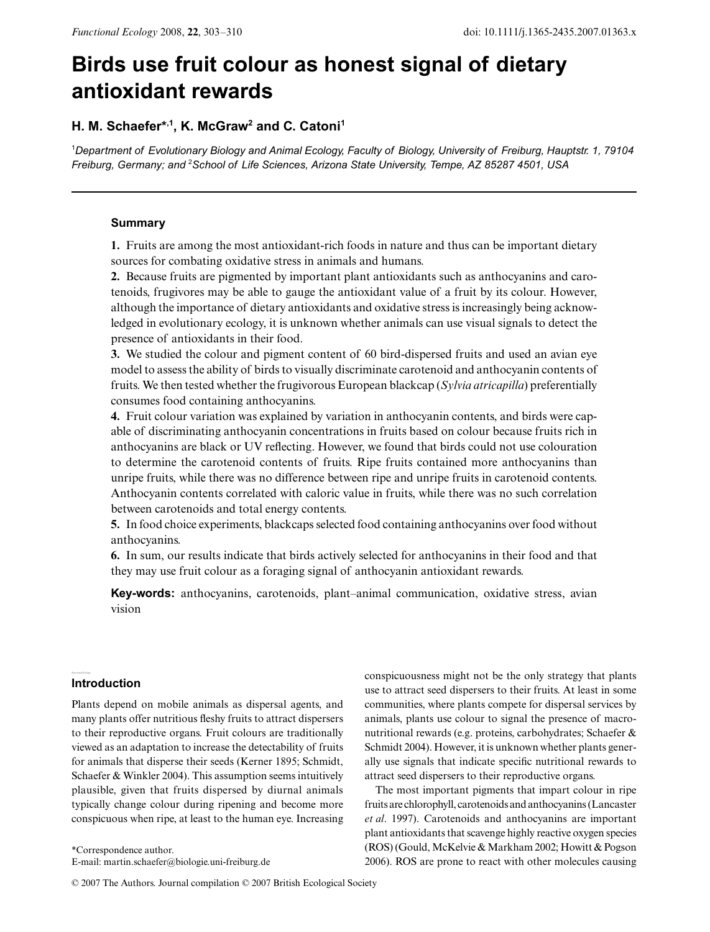# Birds use fruit colour as honest signal of dietary **antioxidant rewards**

# **H. M. Schaefer\*,1, K. McGraw2 and C. Catoni1**

1 *Department of Evolutionary Biology and Animal Ecology, Faculty of Biology, University of Freiburg, Hauptstr. 1, 79104 Freiburg, Germany; and* <sup>2</sup> *School of Life Sciences, Arizona State University, Tempe, AZ 85287 4501, USA*

# **Summary**

**1.** Fruits are among the most antioxidant-rich foods in nature and thus can be important dietary sources for combating oxidative stress in animals and humans.

**2.** Because fruits are pigmented by important plant antioxidants such as anthocyanins and carotenoids, frugivores may be able to gauge the antioxidant value of a fruit by its colour. However, although the importance of dietary antioxidants and oxidative stress is increasingly being acknowledged in evolutionary ecology, it is unknown whether animals can use visual signals to detect the presence of antioxidants in their food.

**3.** We studied the colour and pigment content of 60 bird-dispersed fruits and used an avian eye model to assess the ability of birds to visually discriminate carotenoid and anthocyanin contents of fruits. We then tested whether the frugivorous European blackcap (*Sylvia atricapilla*) preferentially consumes food containing anthocyanins.

**4.** Fruit colour variation was explained by variation in anthocyanin contents, and birds were capable of discriminating anthocyanin concentrations in fruits based on colour because fruits rich in anthocyanins are black or UV reflecting. However, we found that birds could not use colouration to determine the carotenoid contents of fruits. Ripe fruits contained more anthocyanins than unripe fruits, while there was no difference between ripe and unripe fruits in carotenoid contents. Anthocyanin contents correlated with caloric value in fruits, while there was no such correlation between carotenoids and total energy contents.

**5.** In food choice experiments, blackcaps selected food containing anthocyanins over food without anthocyanins.

**6.** In sum, our results indicate that birds actively selected for anthocyanins in their food and that they may use fruit colour as a foraging signal of anthocyanin antioxidant rewards.

**Key-words:** anthocyanins, carotenoids, plant–animal communication, oxidative stress, avian vision

#### *Functional Ecology Ecology* (2007)doi: 10.1111/j.1365-2435.2007.0@@@@.x (2007) **xx**, 000–000 **Introduction**

Plants depend on mobile animals as dispersal agents, and many plants offer nutritious fleshy fruits to attract dispersers to their reproductive organs. Fruit colours are traditionally viewed as an adaptation to increase the detectability of fruits for animals that disperse their seeds (Kerner 1895; Schmidt, Schaefer & Winkler 2004). This assumption seems intuitively plausible, given that fruits dispersed by diurnal animals typically change colour during ripening and become more conspicuous when ripe, at least to the human eye. Increasing

\*Correspondence author.

conspicuousness might not be the only strategy that plants use to attract seed dispersers to their fruits. At least in some communities, where plants compete for dispersal services by animals, plants use colour to signal the presence of macronutritional rewards (e.g. proteins, carbohydrates; Schaefer & Schmidt 2004). However, it is unknown whether plants generally use signals that indicate specific nutritional rewards to attract seed dispersers to their reproductive organs.

The most important pigments that impart colour in ripe fruits are chlorophyll, carotenoids and anthocyanins (Lancaster *et al*. 1997). Carotenoids and anthocyanins are important plant antioxidants that scavenge highly reactive oxygen species (ROS) (Gould, McKelvie & Markham 2002; Howitt & Pogson 2006). ROS are prone to react with other molecules causing

E-mail: martin.schaefer@biologie.uni-freiburg.de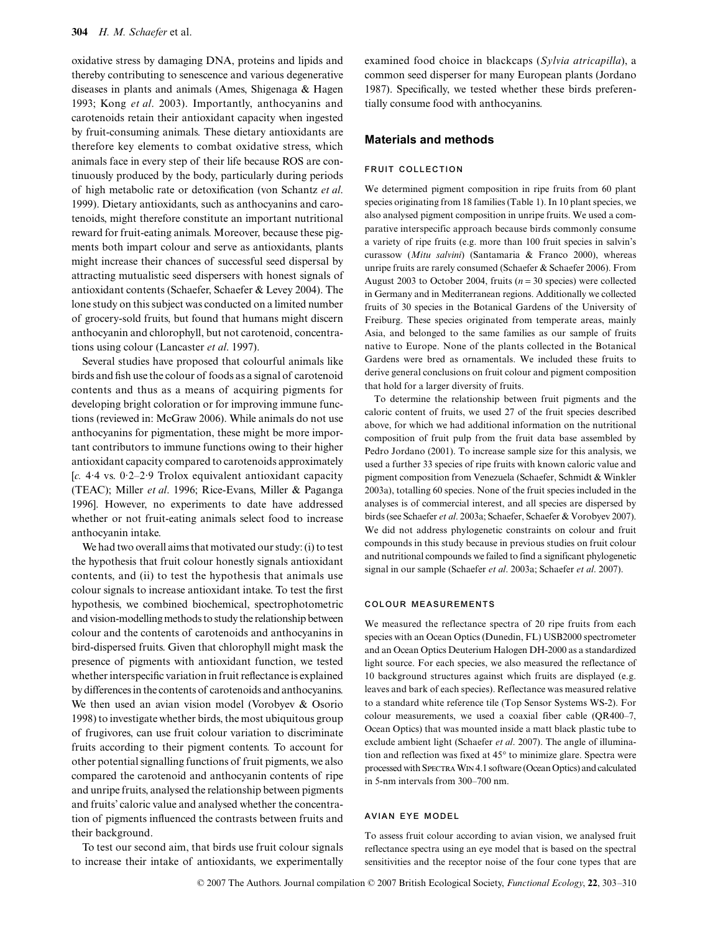oxidative stress by damaging DNA, proteins and lipids and thereby contributing to senescence and various degenerative diseases in plants and animals (Ames, Shigenaga & Hagen 1993; Kong *et al*. 2003). Importantly, anthocyanins and carotenoids retain their antioxidant capacity when ingested by fruit-consuming animals. These dietary antioxidants are therefore key elements to combat oxidative stress, which animals face in every step of their life because ROS are continuously produced by the body, particularly during periods of high metabolic rate or detoxification (von Schantz *et al*. 1999). Dietary antioxidants, such as anthocyanins and carotenoids, might therefore constitute an important nutritional reward for fruit-eating animals. Moreover, because these pigments both impart colour and serve as antioxidants, plants might increase their chances of successful seed dispersal by attracting mutualistic seed dispersers with honest signals of antioxidant contents (Schaefer, Schaefer & Levey 2004). The lone study on this subject was conducted on a limited number of grocery-sold fruits, but found that humans might discern anthocyanin and chlorophyll, but not carotenoid, concentrations using colour (Lancaster *et al*. 1997).

Several studies have proposed that colourful animals like birds and fish use the colour of foods as a signal of carotenoid contents and thus as a means of acquiring pigments for developing bright coloration or for improving immune functions (reviewed in: McGraw 2006). While animals do not use anthocyanins for pigmentation, these might be more important contributors to immune functions owing to their higher antioxidant capacity compared to carotenoids approximately [*c.* 4·4 vs. 0·2–2·9 Trolox equivalent antioxidant capacity (TEAC); Miller *et al*. 1996; Rice-Evans, Miller & Paganga 1996]. However, no experiments to date have addressed whether or not fruit-eating animals select food to increase anthocyanin intake.

We had two overall aims that motivated our study: (i) to test the hypothesis that fruit colour honestly signals antioxidant contents, and (ii) to test the hypothesis that animals use colour signals to increase antioxidant intake. To test the first hypothesis, we combined biochemical, spectrophotometric and vision-modelling methods to study the relationship between colour and the contents of carotenoids and anthocyanins in bird-dispersed fruits. Given that chlorophyll might mask the presence of pigments with antioxidant function, we tested whether interspecific variation in fruit reflectance is explained by differences in the contents of carotenoids and anthocyanins. We then used an avian vision model (Vorobyev & Osorio 1998) to investigate whether birds, the most ubiquitous group of frugivores, can use fruit colour variation to discriminate fruits according to their pigment contents. To account for other potential signalling functions of fruit pigments, we also compared the carotenoid and anthocyanin contents of ripe and unripe fruits, analysed the relationship between pigments and fruits' caloric value and analysed whether the concentration of pigments influenced the contrasts between fruits and their background.

To test our second aim, that birds use fruit colour signals to increase their intake of antioxidants, we experimentally

examined food choice in blackcaps (*Sylvia atricapilla*), a common seed disperser for many European plants (Jordano 1987). Specifically, we tested whether these birds preferentially consume food with anthocyanins.

# **Materials and methods**

## **FRUIT COLLECTION**

We determined pigment composition in ripe fruits from 60 plant species originating from 18 families (Table 1). In 10 plant species, we also analysed pigment composition in unripe fruits. We used a comparative interspecific approach because birds commonly consume a variety of ripe fruits (e.g. more than 100 fruit species in salvin's curassow (*Mitu salvini*) (Santamaria & Franco 2000), whereas unripe fruits are rarely consumed (Schaefer & Schaefer 2006). From August 2003 to October 2004, fruits ( $n = 30$  species) were collected in Germany and in Mediterranean regions. Additionally we collected fruits of 30 species in the Botanical Gardens of the University of Freiburg. These species originated from temperate areas, mainly Asia, and belonged to the same families as our sample of fruits native to Europe. None of the plants collected in the Botanical Gardens were bred as ornamentals. We included these fruits to derive general conclusions on fruit colour and pigment composition that hold for a larger diversity of fruits.

To determine the relationship between fruit pigments and the caloric content of fruits, we used 27 of the fruit species described above, for which we had additional information on the nutritional composition of fruit pulp from the fruit data base assembled by Pedro Jordano (2001). To increase sample size for this analysis, we used a further 33 species of ripe fruits with known caloric value and pigment composition from Venezuela (Schaefer, Schmidt & Winkler 2003a), totalling 60 species. None of the fruit species included in the analyses is of commercial interest, and all species are dispersed by birds (see Schaefer *et al*. 2003a; Schaefer, Schaefer & Vorobyev 2007). We did not address phylogenetic constraints on colour and fruit compounds in this study because in previous studies on fruit colour and nutritional compounds we failed to find a significant phylogenetic signal in our sample (Schaefer *et al*. 2003a; Schaefer *et al*. 2007).

#### **COLOUR MEASUREMENTS**

We measured the reflectance spectra of 20 ripe fruits from each species with an Ocean Optics (Dunedin, FL) USB2000 spectrometer and an Ocean Optics Deuterium Halogen DH-2000 as a standardized light source. For each species, we also measured the reflectance of 10 background structures against which fruits are displayed (e.g. leaves and bark of each species). Reflectance was measured relative to a standard white reference tile (Top Sensor Systems WS-2). For colour measurements, we used a coaxial fiber cable (QR400–7, Ocean Optics) that was mounted inside a matt black plastic tube to exclude ambient light (Schaefer *et al*. 2007). The angle of illumination and reflection was fixed at 45° to minimize glare. Spectra were processed with Spectra Win 4.1 software (Ocean Optics) and calculated in 5-nm intervals from 300–700 nm.

#### **AVIAN EYE MODEL**

To assess fruit colour according to avian vision, we analysed fruit reflectance spectra using an eye model that is based on the spectral sensitivities and the receptor noise of the four cone types that are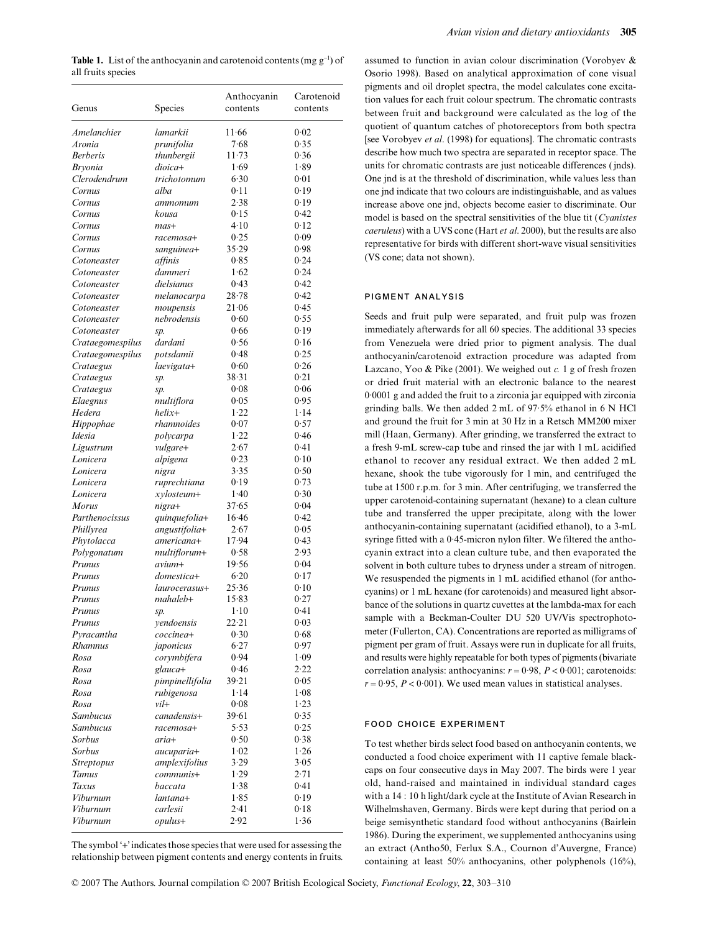**Table 1.** List of the anthocyanin and carotenoid contents (mg  $g^{-1}$ ) of all fruits species

| Genus                  | Species                  | Anthocyanin<br>contents | Carotenoid<br>contents |
|------------------------|--------------------------|-------------------------|------------------------|
| Amelanchier            | lamarkii                 | 11.66                   | 0.02                   |
| Aronia                 | prunifolia               | 7.68                    | 0.35                   |
| <b>Berberis</b>        | thunbergii               | $11 - 73$               | 0.36                   |
| <b>Bryonia</b>         | dioica+                  | 1.69                    | 1.89                   |
| Clerodendrum           | trichotomum              | 6.30                    | 0.01                   |
| Cornus                 | alba                     | 0.11                    | 0.19                   |
| Cornus                 | ammomum                  | 2.38                    | 0.19                   |
| Cornus                 | kousa                    | 0.15                    | 0.42                   |
| Cornus                 | $mas+$                   | 4.10                    | 0.12                   |
| Cornus                 | racemosa+                | 0.25                    | 0.09                   |
| Cornus                 | sanguinea+               | 35.29                   | 0.98                   |
| Cotoneaster            | affinis                  | 0.85                    | 0.24                   |
| Cotoneaster            | dammeri                  | 1.62                    | 0.24                   |
| Cotoneaster            | dielsianus               | 0.43                    | 0.42                   |
| Cotoneaster            | melanocarpa              | 28.78                   | 0.42                   |
| Cotoneaster            | moupensis<br>nebrodensis | $21 - 06$               | 0.45                   |
| Cotoneaster            |                          | 0.60<br>0.66            | 0.55                   |
| Cotoneaster            | sp.<br>dardani           | 0.56                    | 0.19<br>0.16           |
| Crataegomespilus       | potsdamii                | 0.48                    | 0.25                   |
| Crataegomespilus       |                          | 0.60                    | 0.26                   |
| Crataegus<br>Crataegus | laevigata+               | 38.31                   | 0.21                   |
| Crataegus              | sp.                      | 0.08                    | 0.06                   |
| Elaegnus               | sp.<br>multiflora        | 0.05                    | 0.95                   |
| Hedera                 | helix+                   | 1.22                    | 1.14                   |
| Hippophae              | rhamnoides               | 0.07                    | 0.57                   |
| Idesia                 | polycarpa                | 1.22                    | 0.46                   |
| Ligustrum              | vulgare+                 | 2.67                    | 0.41                   |
| Lonicera               | alpigena                 | 0.23                    | 0.10                   |
| Lonicera               | nigra                    | 3.35                    | 0.50                   |
| Lonicera               | ruprechtiana             | 0.19                    | 0.73                   |
| Lonicera               | xylosteum+               | 1.40                    | 0.30                   |
| Morus                  | nigra+                   | 37.65                   | 0.04                   |
| Parthenocissus         | quinquefolia+            | 16.46                   | 0.42                   |
| Phillyrea              | angustifolia+            | 2.67                    | 0.05                   |
| Phytolacca             | americana+               | 17.94                   | 0.43                   |
| Polygonatum            | $multiforward +$         | 0.58                    | 2.93                   |
| Prunus                 | avium+                   | 19.56                   | 0.04                   |
| Prunus                 | domestica+               | 6.20                    | 0.17                   |
| Prunus                 | laurocerasus+            | 25.36                   | 0.10                   |
| Prunus                 | $mahaleb+$               | 15.83                   | 0.27                   |
| Prunus                 | sp.                      | $1-10$                  | 0.41                   |
| Prunus                 | yendoensis               | $22 - 21$               | 0.03                   |
| Pyracantha             | coccinea+                | 0.30                    | 0.68                   |
| Rhamnus                | japonicus                | 6.27                    | 0.97                   |
| Rosa                   | corymbifera              | 0.94                    | 1.09                   |
| Rosa                   | $glauca+$                | 0.46                    | 2.22                   |
| Rosa                   | pimpinellifolia          | 39.21                   | 0.05                   |
| Rosa                   | rubigenosa               | 1.14                    | 1.08                   |
| Rosa                   | vil+<br>canadensis+      | 0.08                    | 1.23                   |
| Sambucus               |                          | 39.61                   | 0.35                   |
| Sambucus<br>Sorbus     | racemosa+                | 5.53<br>0.50            | 0.25<br>0.38           |
| Sorbus                 | aria+<br>aucuparia+      | 1.02                    | 1.26                   |
| <b>Streptopus</b>      | amplexifolius            | 3.29                    | 3.05                   |
| <b>Tamus</b>           | communis+                | 1.29                    | 2.71                   |
| Taxus                  | baccata                  | 1.38                    | 0.41                   |
| Viburnum               | lantana+                 | 1.85                    | 0.19                   |
| Viburnum               | carlesii                 | 2.41                    | 0.18                   |
| Viburnum               | opulus+                  | 2.92                    | 1.36                   |
|                        |                          |                         |                        |

The symbol '+' indicates those species that were used for assessing the relationship between pigment contents and energy contents in fruits. assumed to function in avian colour discrimination (Vorobyev & Osorio 1998). Based on analytical approximation of cone visual pigments and oil droplet spectra, the model calculates cone excitation values for each fruit colour spectrum. The chromatic contrasts between fruit and background were calculated as the log of the quotient of quantum catches of photoreceptors from both spectra [see Vorobyev *et al*. (1998) for equations]. The chromatic contrasts describe how much two spectra are separated in receptor space. The units for chromatic contrasts are just noticeable differences ( jnds). One jnd is at the threshold of discrimination, while values less than one jnd indicate that two colours are indistinguishable, and as values increase above one jnd, objects become easier to discriminate. Our model is based on the spectral sensitivities of the blue tit (*Cyanistes caeruleus*) with a UVS cone (Hart *et al*. 2000), but the results are also representative for birds with different short-wave visual sensitivities (VS cone; data not shown).

#### **PIGMENT ANALYSIS**

Seeds and fruit pulp were separated, and fruit pulp was frozen immediately afterwards for all 60 species. The additional 33 species from Venezuela were dried prior to pigment analysis. The dual anthocyanin/carotenoid extraction procedure was adapted from Lazcano, Yoo & Pike (2001). We weighed out *c.* 1 g of fresh frozen or dried fruit material with an electronic balance to the nearest 0·0001 g and added the fruit to a zirconia jar equipped with zirconia grinding balls. We then added 2 mL of 97·5% ethanol in 6 N HCl and ground the fruit for 3 min at 30 Hz in a Retsch MM200 mixer mill (Haan, Germany). After grinding, we transferred the extract to a fresh 9-mL screw-cap tube and rinsed the jar with 1 mL acidified ethanol to recover any residual extract. We then added 2 mL hexane, shook the tube vigorously for 1 min, and centrifuged the tube at 1500 r.p.m. for 3 min. After centrifuging, we transferred the upper carotenoid-containing supernatant (hexane) to a clean culture tube and transferred the upper precipitate, along with the lower anthocyanin-containing supernatant (acidified ethanol), to a 3-mL syringe fitted with a 0·45-micron nylon filter. We filtered the anthocyanin extract into a clean culture tube, and then evaporated the solvent in both culture tubes to dryness under a stream of nitrogen. We resuspended the pigments in 1 mL acidified ethanol (for anthocyanins) or 1 mL hexane (for carotenoids) and measured light absorbance of the solutions in quartz cuvettes at the lambda-max for each sample with a Beckman-Coulter DU 520 UV/Vis spectrophotometer (Fullerton, CA). Concentrations are reported as milligrams of pigment per gram of fruit. Assays were run in duplicate for all fruits, and results were highly repeatable for both types of pigments (bivariate correlation analysis: anthocyanins:  $r = 0.98$ ,  $P < 0.001$ ; carotenoids:  $r = 0.95$ ,  $P < 0.001$ ). We used mean values in statistical analyses.

#### **FOOD CHOICE EXPERIMENT**

To test whether birds select food based on anthocyanin contents, we conducted a food choice experiment with 11 captive female blackcaps on four consecutive days in May 2007. The birds were 1 year old, hand-raised and maintained in individual standard cages with a 14 : 10 h light/dark cycle at the Institute of Avian Research in Wilhelmshaven, Germany. Birds were kept during that period on a beige semisynthetic standard food without anthocyanins (Bairlein 1986). During the experiment, we supplemented anthocyanins using an extract (Antho50, Ferlux S.A., Cournon d'Auvergne, France) containing at least 50% anthocyanins, other polyphenols (16%),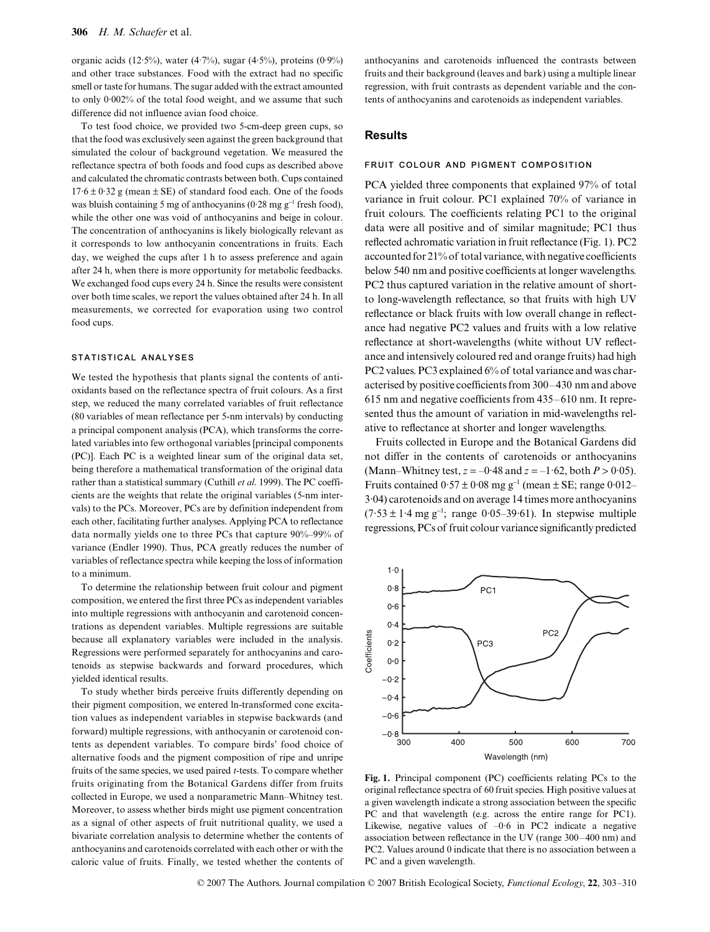organic acids (12·5%), water (4·7%), sugar (4·5%), proteins (0·9%) and other trace substances. Food with the extract had no specific smell or taste for humans. The sugar added with the extract amounted to only 0·002% of the total food weight, and we assume that such difference did not influence avian food choice.

To test food choice, we provided two 5-cm-deep green cups, so that the food was exclusively seen against the green background that simulated the colour of background vegetation. We measured the reflectance spectra of both foods and food cups as described above and calculated the chromatic contrasts between both. Cups contained  $17.6 \pm 0.32$  g (mean  $\pm$  SE) of standard food each. One of the foods was bluish containing 5 mg of anthocyanins (0·28 mg g<sup>-1</sup> fresh food), while the other one was void of anthocyanins and beige in colour. The concentration of anthocyanins is likely biologically relevant as it corresponds to low anthocyanin concentrations in fruits. Each day, we weighed the cups after 1 h to assess preference and again after 24 h, when there is more opportunity for metabolic feedbacks. We exchanged food cups every 24 h. Since the results were consistent over both time scales, we report the values obtained after 24 h. In all measurements, we corrected for evaporation using two control food cups.

#### **STATISTICAL ANALYSES**

We tested the hypothesis that plants signal the contents of antioxidants based on the reflectance spectra of fruit colours. As a first step, we reduced the many correlated variables of fruit reflectance (80 variables of mean reflectance per 5-nm intervals) by conducting a principal component analysis (PCA), which transforms the correlated variables into few orthogonal variables [principal components (PC)]. Each PC is a weighted linear sum of the original data set, being therefore a mathematical transformation of the original data rather than a statistical summary (Cuthill *et al*. 1999). The PC coefficients are the weights that relate the original variables (5-nm intervals) to the PCs. Moreover, PCs are by definition independent from each other, facilitating further analyses. Applying PCA to reflectance data normally yields one to three PCs that capture 90%–99% of variance (Endler 1990). Thus, PCA greatly reduces the number of variables of reflectance spectra while keeping the loss of information to a minimum.

To determine the relationship between fruit colour and pigment composition, we entered the first three PCs as independent variables into multiple regressions with anthocyanin and carotenoid concentrations as dependent variables. Multiple regressions are suitable because all explanatory variables were included in the analysis. Regressions were performed separately for anthocyanins and carotenoids as stepwise backwards and forward procedures, which yielded identical results.

To study whether birds perceive fruits differently depending on their pigment composition, we entered ln-transformed cone excitation values as independent variables in stepwise backwards (and forward) multiple regressions, with anthocyanin or carotenoid contents as dependent variables. To compare birds' food choice of alternative foods and the pigment composition of ripe and unripe fruits of the same species, we used paired *t*-tests. To compare whether fruits originating from the Botanical Gardens differ from fruits collected in Europe, we used a nonparametric Mann–Whitney test. Moreover, to assess whether birds might use pigment concentration as a signal of other aspects of fruit nutritional quality, we used a bivariate correlation analysis to determine whether the contents of anthocyanins and carotenoids correlated with each other or with the caloric value of fruits. Finally, we tested whether the contents of anthocyanins and carotenoids influenced the contrasts between fruits and their background (leaves and bark) using a multiple linear regression, with fruit contrasts as dependent variable and the contents of anthocyanins and carotenoids as independent variables.

# **Results**

#### **FRUIT COLOUR AND PIGMENT COMPOSITION**

PCA yielded three components that explained 97% of total variance in fruit colour. PC1 explained 70% of variance in fruit colours. The coefficients relating PC1 to the original data were all positive and of similar magnitude; PC1 thus reflected achromatic variation in fruit reflectance (Fig. 1). PC2 accounted for 21% of total variance, with negative coefficients below 540 nm and positive coefficients at longer wavelengths. PC2 thus captured variation in the relative amount of shortto long-wavelength reflectance, so that fruits with high UV reflectance or black fruits with low overall change in reflectance had negative PC2 values and fruits with a low relative reflectance at short-wavelengths (white without UV reflectance and intensively coloured red and orange fruits) had high PC2 values. PC3 explained 6% of total variance and was characterised by positive coefficients from 300–430 nm and above 615 nm and negative coefficients from 435–610 nm. It represented thus the amount of variation in mid-wavelengths relative to reflectance at shorter and longer wavelengths.

Fruits collected in Europe and the Botanical Gardens did not differ in the contents of carotenoids or anthocyanins (Mann–Whitney test,  $z = -0.48$  and  $z = -1.62$ , both  $P > 0.05$ ). Fruits contained  $0.57 \pm 0.08$  mg g<sup>-1</sup> (mean  $\pm$  SE; range 0.012– 3·04) carotenoids and on average 14 times more anthocyanins  $(7.53 \pm 1.4 \text{ mg g}^{-1})$ ; range 0.05–39.61). In stepwise multiple regressions, PCs of fruit colour variance significantly predicted



**Fig. 1.** Principal component (PC) coefficients relating PCs to the original reflectance spectra of 60 fruit species. High positive values at a given wavelength indicate a strong association between the specific PC and that wavelength (e.g. across the entire range for PC1). Likewise, negative values of  $-0.6$  in PC2 indicate a negative association between reflectance in the UV (range 300–400 nm) and PC2. Values around 0 indicate that there is no association between a PC and a given wavelength.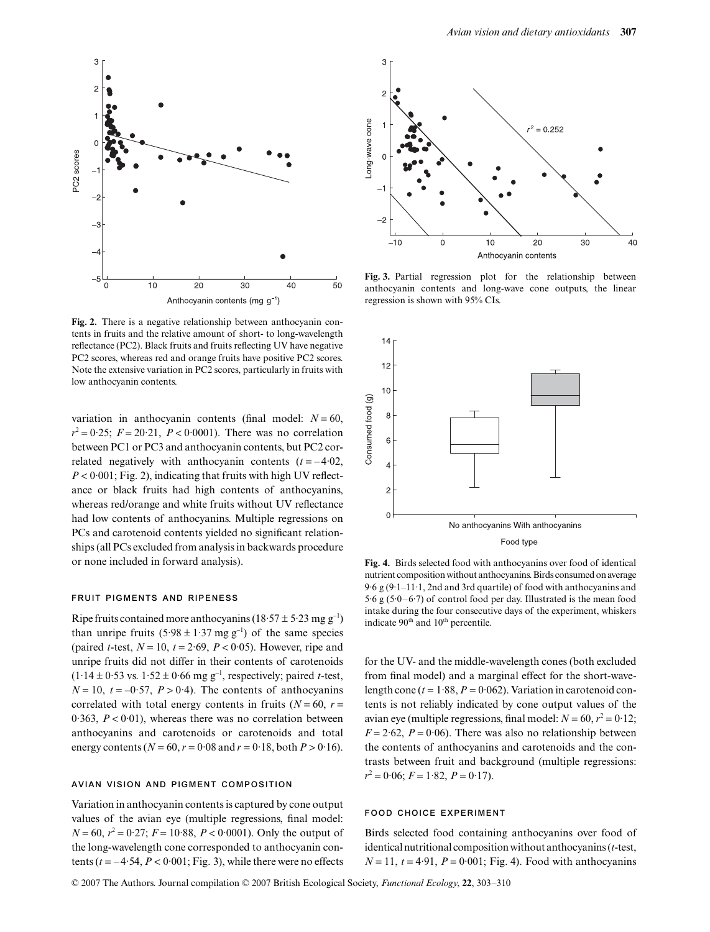

**Fig. 2.** There is a negative relationship between anthocyanin contents in fruits and the relative amount of short- to long-wavelength reflectance (PC2). Black fruits and fruits reflecting UV have negative PC2 scores, whereas red and orange fruits have positive PC2 scores. Note the extensive variation in PC2 scores, particularly in fruits with low anthocyanin contents.

variation in anthocyanin contents (final model:  $N = 60$ ,  $r^2 = 0.25$ ;  $F = 20.21$ ,  $P < 0.0001$ ). There was no correlation between PC1 or PC3 and anthocyanin contents, but PC2 correlated negatively with anthocyanin contents  $(t = -4.02$ ,  $P < 0.001$ ; Fig. 2), indicating that fruits with high UV reflectance or black fruits had high contents of anthocyanins, whereas red/orange and white fruits without UV reflectance had low contents of anthocyanins. Multiple regressions on PCs and carotenoid contents yielded no significant relationships (all PCs excluded from analysis in backwards procedure or none included in forward analysis).

# **FRUIT PIGMENTS AND RIPENESS**

Ripe fruits contained more anthocyanins ( $18.57 \pm 5.23$  mg g<sup>-1</sup>) than unripe fruits  $(5.98 \pm 1.37 \text{ mg g}^{-1})$  of the same species (paired *t*-test,  $N = 10$ ,  $t = 2.69$ ,  $P < 0.05$ ). However, ripe and unripe fruits did not differ in their contents of carotenoids  $(1.14 \pm 0.53 \text{ vs. } 1.52 \pm 0.66 \text{ mg g}^{-1})$ , respectively; paired *t*-test,  $N = 10$ ,  $t = -0.57$ ,  $P > 0.4$ ). The contents of anthocyanins correlated with total energy contents in fruits ( $N = 60$ ,  $r =$ 0.363,  $P < 0.01$ ), whereas there was no correlation between anthocyanins and carotenoids or carotenoids and total energy contents ( $N = 60$ ,  $r = 0.08$  and  $r = 0.18$ , both  $P > 0.16$ ).

# **AVIAN VISION AND PIGMENT COMPOSITION**

Variation in anthocyanin contents is captured by cone output values of the avian eye (multiple regressions, final model:  $N = 60$ ,  $r^2 = 0.27$ ;  $F = 10.88$ ,  $P < 0.0001$ ). Only the output of the long-wavelength cone corresponded to anthocyanin contents ( $t = -4.54$ ,  $P < 0.001$ ; Fig. 3), while there were no effects



**Fig. 3.** Partial regression plot for the relationship between anthocyanin contents and long-wave cone outputs, the linear regression is shown with 95% CIs.



**Fig. 4.** Birds selected food with anthocyanins over food of identical nutrient composition without anthocyanins. Birds consumed on average 9·6 g (9·1–11·1, 2nd and 3rd quartile) of food with anthocyanins and 5·6 g (5·0–6·7) of control food per day. Illustrated is the mean food intake during the four consecutive days of the experiment, whiskers indicate 90<sup>th</sup> and 10<sup>th</sup> percentile.

for the UV- and the middle-wavelength cones (both excluded from final model) and a marginal effect for the short-wavelength cone ( $t = 1.88$ ,  $P = 0.062$ ). Variation in carotenoid contents is not reliably indicated by cone output values of the avian eye (multiple regressions, final model:  $N = 60$ ,  $r^2 = 0.12$ ;  $F = 2.62$ ,  $P = 0.06$ . There was also no relationship between the contents of anthocyanins and carotenoids and the contrasts between fruit and background (multiple regressions:  $r^2 = 0.06$ ;  $F = 1.82$ ,  $P = 0.17$ ).

# **FOOD CHOICE EXPERIMENT**

Birds selected food containing anthocyanins over food of identical nutritional composition without anthocyanins (*t*-test,  $N = 11$ ,  $t = 4.91$ ,  $P = 0.001$ ; Fig. 4). Food with anthocyanins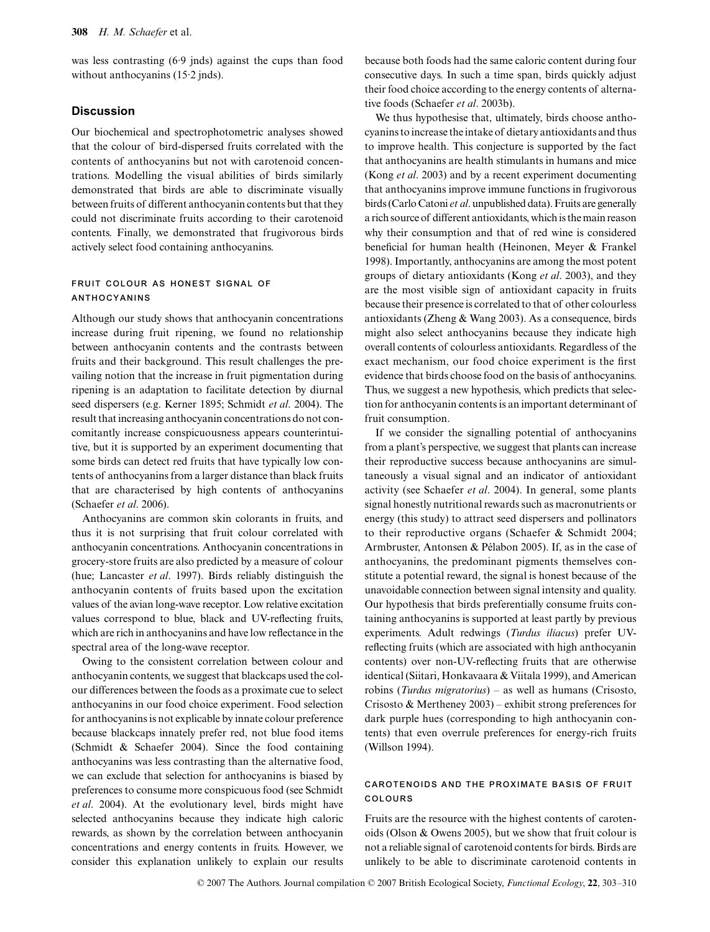was less contrasting (6·9 jnds) against the cups than food without anthocyanins (15·2 jnds).

## **Discussion**

Our biochemical and spectrophotometric analyses showed that the colour of bird-dispersed fruits correlated with the contents of anthocyanins but not with carotenoid concentrations. Modelling the visual abilities of birds similarly demonstrated that birds are able to discriminate visually between fruits of different anthocyanin contents but that they could not discriminate fruits according to their carotenoid contents. Finally, we demonstrated that frugivorous birds actively select food containing anthocyanins.

# **FRUIT COLOUR AS HONEST SIGNAL OF ANTHOCYANINS**

Although our study shows that anthocyanin concentrations increase during fruit ripening, we found no relationship between anthocyanin contents and the contrasts between fruits and their background. This result challenges the prevailing notion that the increase in fruit pigmentation during ripening is an adaptation to facilitate detection by diurnal seed dispersers (e.g. Kerner 1895; Schmidt *et al*. 2004). The result that increasing anthocyanin concentrations do not concomitantly increase conspicuousness appears counterintuitive, but it is supported by an experiment documenting that some birds can detect red fruits that have typically low contents of anthocyanins from a larger distance than black fruits that are characterised by high contents of anthocyanins (Schaefer *et al*. 2006).

Anthocyanins are common skin colorants in fruits, and thus it is not surprising that fruit colour correlated with anthocyanin concentrations. Anthocyanin concentrations in grocery-store fruits are also predicted by a measure of colour (hue; Lancaster *et al*. 1997). Birds reliably distinguish the anthocyanin contents of fruits based upon the excitation values of the avian long-wave receptor. Low relative excitation values correspond to blue, black and UV-reflecting fruits, which are rich in anthocyanins and have low reflectance in the spectral area of the long-wave receptor.

Owing to the consistent correlation between colour and anthocyanin contents, we suggest that blackcaps used the colour differences between the foods as a proximate cue to select anthocyanins in our food choice experiment. Food selection for anthocyanins is not explicable by innate colour preference because blackcaps innately prefer red, not blue food items (Schmidt & Schaefer 2004). Since the food containing anthocyanins was less contrasting than the alternative food, we can exclude that selection for anthocyanins is biased by preferences to consume more conspicuous food (see Schmidt *et al*. 2004). At the evolutionary level, birds might have selected anthocyanins because they indicate high caloric rewards, as shown by the correlation between anthocyanin concentrations and energy contents in fruits. However, we consider this explanation unlikely to explain our results because both foods had the same caloric content during four consecutive days. In such a time span, birds quickly adjust their food choice according to the energy contents of alternative foods (Schaefer *et al*. 2003b).

We thus hypothesise that, ultimately, birds choose anthocyanins to increase the intake of dietary antioxidants and thus to improve health. This conjecture is supported by the fact that anthocyanins are health stimulants in humans and mice (Kong *et al*. 2003) and by a recent experiment documenting that anthocyanins improve immune functions in frugivorous birds (Carlo Catoni *et al*. unpublished data). Fruits are generally a rich source of different antioxidants, which is the main reason why their consumption and that of red wine is considered beneficial for human health (Heinonen, Meyer & Frankel 1998). Importantly, anthocyanins are among the most potent groups of dietary antioxidants (Kong *et al*. 2003), and they are the most visible sign of antioxidant capacity in fruits because their presence is correlated to that of other colourless antioxidants (Zheng & Wang 2003). As a consequence, birds might also select anthocyanins because they indicate high overall contents of colourless antioxidants. Regardless of the exact mechanism, our food choice experiment is the first evidence that birds choose food on the basis of anthocyanins. Thus, we suggest a new hypothesis, which predicts that selection for anthocyanin contents is an important determinant of fruit consumption.

If we consider the signalling potential of anthocyanins from a plant's perspective, we suggest that plants can increase their reproductive success because anthocyanins are simultaneously a visual signal and an indicator of antioxidant activity (see Schaefer *et al*. 2004). In general, some plants signal honestly nutritional rewards such as macronutrients or energy (this study) to attract seed dispersers and pollinators to their reproductive organs (Schaefer & Schmidt 2004; Armbruster, Antonsen & Pélabon 2005). If, as in the case of anthocyanins, the predominant pigments themselves constitute a potential reward, the signal is honest because of the unavoidable connection between signal intensity and quality. Our hypothesis that birds preferentially consume fruits containing anthocyanins is supported at least partly by previous experiments. Adult redwings (*Turdus iliacus*) prefer UVreflecting fruits (which are associated with high anthocyanin contents) over non-UV-reflecting fruits that are otherwise identical (Siitari, Honkavaara & Viitala 1999), and American robins (*Turdus migratorius*) – as well as humans (Crisosto, Crisosto & Mertheney 2003) – exhibit strong preferences for dark purple hues (corresponding to high anthocyanin contents) that even overrule preferences for energy-rich fruits (Willson 1994).

# **CAROTENOIDS AND THE PROXIMATE BASIS OF FRUIT COLOURS**

Fruits are the resource with the highest contents of carotenoids (Olson & Owens 2005), but we show that fruit colour is not a reliable signal of carotenoid contents for birds. Birds are unlikely to be able to discriminate carotenoid contents in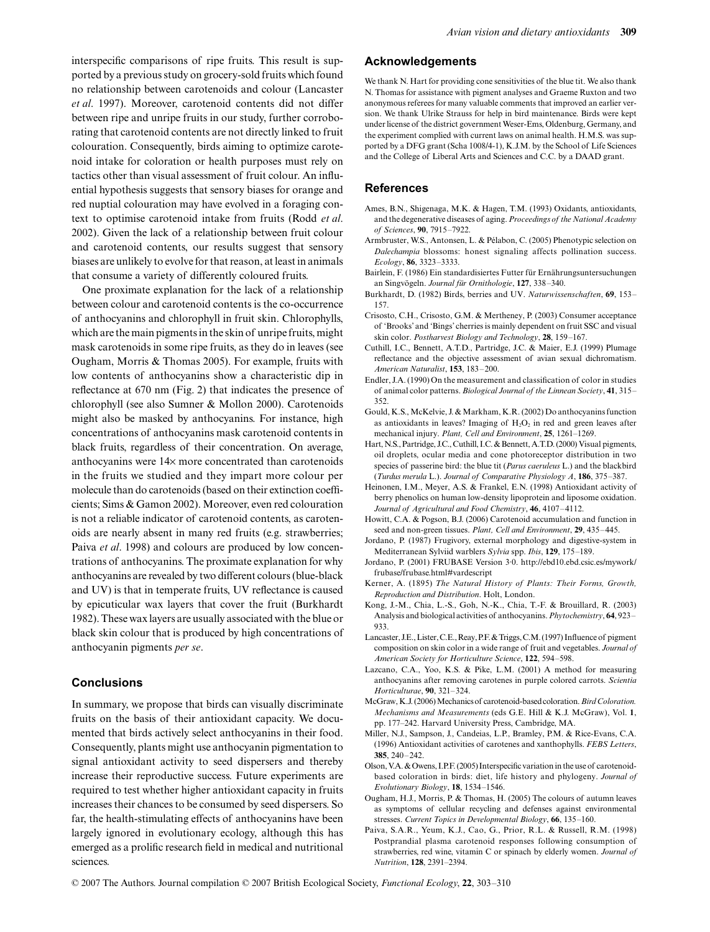interspecific comparisons of ripe fruits. This result is supported by a previous study on grocery-sold fruits which found no relationship between carotenoids and colour (Lancaster *et al*. 1997). Moreover, carotenoid contents did not differ between ripe and unripe fruits in our study, further corroborating that carotenoid contents are not directly linked to fruit colouration. Consequently, birds aiming to optimize carotenoid intake for coloration or health purposes must rely on tactics other than visual assessment of fruit colour. An influential hypothesis suggests that sensory biases for orange and red nuptial colouration may have evolved in a foraging context to optimise carotenoid intake from fruits (Rodd *et al*. 2002). Given the lack of a relationship between fruit colour and carotenoid contents, our results suggest that sensory biases are unlikely to evolve for that reason, at least in animals that consume a variety of differently coloured fruits.

One proximate explanation for the lack of a relationship between colour and carotenoid contents is the co-occurrence of anthocyanins and chlorophyll in fruit skin. Chlorophylls, which are the main pigments in the skin of unripe fruits, might mask carotenoids in some ripe fruits, as they do in leaves (see Ougham, Morris & Thomas 2005). For example, fruits with low contents of anthocyanins show a characteristic dip in reflectance at 670 nm (Fig. 2) that indicates the presence of chlorophyll (see also Sumner & Mollon 2000). Carotenoids might also be masked by anthocyanins. For instance, high concentrations of anthocyanins mask carotenoid contents in black fruits, regardless of their concentration. On average, anthocyanins were 14× more concentrated than carotenoids in the fruits we studied and they impart more colour per molecule than do carotenoids (based on their extinction coefficients; Sims & Gamon 2002). Moreover, even red colouration is not a reliable indicator of carotenoid contents, as carotenoids are nearly absent in many red fruits (e.g. strawberries; Paiva *et al*. 1998) and colours are produced by low concentrations of anthocyanins. The proximate explanation for why anthocyanins are revealed by two different colours (blue-black and UV) is that in temperate fruits, UV reflectance is caused by epicuticular wax layers that cover the fruit (Burkhardt 1982). These wax layers are usually associated with the blue or black skin colour that is produced by high concentrations of anthocyanin pigments *per se*.

# **Conclusions**

In summary, we propose that birds can visually discriminate fruits on the basis of their antioxidant capacity. We documented that birds actively select anthocyanins in their food. Consequently, plants might use anthocyanin pigmentation to signal antioxidant activity to seed dispersers and thereby increase their reproductive success. Future experiments are required to test whether higher antioxidant capacity in fruits increases their chances to be consumed by seed dispersers. So far, the health-stimulating effects of anthocyanins have been largely ignored in evolutionary ecology, although this has emerged as a prolific research field in medical and nutritional sciences.

### **Acknowledgements**

We thank N. Hart for providing cone sensitivities of the blue tit. We also thank N. Thomas for assistance with pigment analyses and Graeme Ruxton and two anonymous referees for many valuable comments that improved an earlier version. We thank Ulrike Strauss for help in bird maintenance. Birds were kept under license of the district government Weser-Ems, Oldenburg, Germany, and the experiment complied with current laws on animal health. H.M.S. was supported by a DFG grant (Scha 1008/4-1), K.J.M. by the School of Life Sciences and the College of Liberal Arts and Sciences and C.C. by a DAAD grant.

#### **References**

- Ames, B.N., Shigenaga, M.K. & Hagen, T.M. (1993) Oxidants, antioxidants, and the degenerative diseases of aging. *Proceedings of the National Academy of Sciences*, **90**, 7915–7922.
- Armbruster, W.S., Antonsen, L. & Pélabon, C. (2005) Phenotypic selection on *Dalechampia* blossoms: honest signaling affects pollination success. *Ecology*, **86**, 3323–3333.
- Bairlein, F. (1986) Ein standardisiertes Futter für Ernährungsuntersuchungen an Singvögeln. *Journal für Ornithologie*, **127**, 338–340.
- Burkhardt, D. (1982) Birds, berries and UV. *Naturwissenschaften*, **69**, 153– 157.
- Crisosto, C.H., Crisosto, G.M. & Mertheney, P. (2003) Consumer acceptance of 'Brooks' and 'Bings' cherries is mainly dependent on fruit SSC and visual skin color. *Postharvest Biology and Technology*, **28**, 159–167.
- Cuthill, I.C., Bennett, A.T.D., Partridge, J.C. & Maier, E.J. (1999) Plumage reflectance and the objective assessment of avian sexual dichromatism. *American Naturalist*, **153**, 183–200.
- Endler, J.A. (1990) On the measurement and classification of color in studies of animal color patterns. *Biological Journal of the Linnean Society*, **41**, 315– 352.
- Gould, K.S., McKelvie, J. & Markham, K.R. (2002) Do anthocyanins function as antioxidants in leaves? Imaging of  $H_2O_2$  in red and green leaves after mechanical injury. *Plant, Cell and Environment*, **25**, 1261–1269.
- Hart, N.S., Partridge, J.C., Cuthill, I.C. & Bennett, A.T.D. (2000) Visual pigments, oil droplets, ocular media and cone photoreceptor distribution in two species of passerine bird: the blue tit (*Parus caeruleus* L.) and the blackbird (*Turdus merula* L.). *Journal of Comparative Physiology A*, **186**, 375–387.
- Heinonen, I.M., Meyer, A.S. & Frankel, E.N. (1998) Antioxidant activity of berry phenolics on human low-density lipoprotein and liposome oxidation. *Journal of Agricultural and Food Chemistry*, **46**, 4107–4112.
- Howitt, C.A. & Pogson, B.J. (2006) Carotenoid accumulation and function in seed and non-green tissues. *Plant, Cell and Environment*, **29**, 435–445.
- Jordano, P. (1987) Frugivory, external morphology and digestive-system in Mediterranean Sylviid warblers *Sylvia* spp. *Ibis*, **129**, 175–189.
- J[ordano, P. \(2001\) FRUBASE Version 3·0. http://ebd10.ebd.csic.es/mywork/](http://ebd10.ebd.csic.es/mywork/frubase/frubase.html#vardescript) frubase/frubase.html#vardescript
- Kerner, A. (1895) *The Natural History of Plants: Their Forms, Growth, Reproduction and Distribution*. Holt, London.
- Kong, J.-M., Chia, L.-S., Goh, N.-K., Chia, T.-F. & Brouillard, R. (2003) Analysis and biological activities of anthocyanins. *Phytochemistry*, **64**, 923– 933.
- Lancaster, J.E., Lister, C.E., Reay, P.F. & Triggs, C.M. (1997) Influence of pigment composition on skin color in a wide range of fruit and vegetables. *Journal of American Society for Horticulture Science*, **122**, 594–598.
- Lazcano, C.A., Yoo, K.S. & Pike, L.M. (2001) A method for measuring anthocyanins after removing carotenes in purple colored carrots. *Scientia Horticulturae*, **90**, 321–324.
- McGraw, K.J. (2006) Mechanics of carotenoid-based coloration. *Bird Coloration. Mechanisms and Measurements* (eds G.E. Hill & K.J. McGraw), Vol. **1**, pp. 177–242. Harvard University Press, Cambridge, MA.
- Miller, N.J., Sampson, J., Candeias, L.P., Bramley, P.M. & Rice-Evans, C.A. (1996) Antioxidant activities of carotenes and xanthophylls. *FEBS Letters*, **385**, 240–242.
- Olson, V.A. & Owens, I.P.F. (2005) Interspecific variation in the use of carotenoidbased coloration in birds: diet, life history and phylogeny. *Journal of Evolutionary Biology*, **18**, 1534–1546.
- Ougham, H.J., Morris, P. & Thomas, H. (2005) The colours of autumn leaves as symptoms of cellular recycling and defenses against environmental stresses. *Current Topics in Developmental Biology*, **66**, 135–160.
- Paiva, S.A.R., Yeum, K.J., Cao, G., Prior, R.L. & Russell, R.M. (1998) Postprandial plasma carotenoid responses following consumption of strawberries, red wine, vitamin C or spinach by elderly women. *Journal of Nutrition*, **128**, 2391–2394.